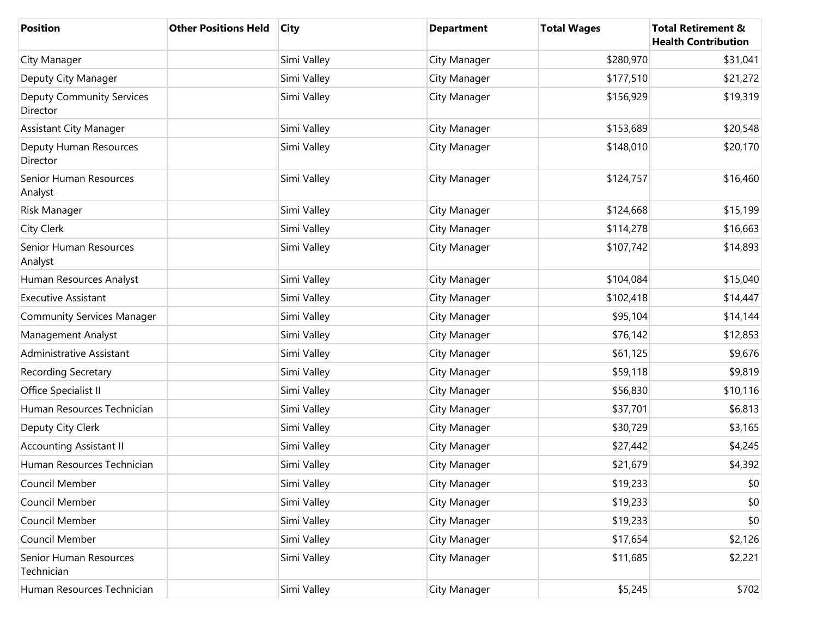| <b>Position</b>                              | <b>Other Positions Held</b> | <b>City</b> | <b>Department</b> | <b>Total Wages</b> | <b>Total Retirement &amp;</b><br><b>Health Contribution</b> |
|----------------------------------------------|-----------------------------|-------------|-------------------|--------------------|-------------------------------------------------------------|
| City Manager                                 |                             | Simi Valley | City Manager      | \$280,970          | \$31,041                                                    |
| Deputy City Manager                          |                             | Simi Valley | City Manager      | \$177,510          | \$21,272                                                    |
| <b>Deputy Community Services</b><br>Director |                             | Simi Valley | City Manager      | \$156,929          | \$19,319                                                    |
| <b>Assistant City Manager</b>                |                             | Simi Valley | City Manager      | \$153,689          | \$20,548                                                    |
| Deputy Human Resources<br>Director           |                             | Simi Valley | City Manager      | \$148,010          | \$20,170                                                    |
| Senior Human Resources<br>Analyst            |                             | Simi Valley | City Manager      | \$124,757          | \$16,460                                                    |
| Risk Manager                                 |                             | Simi Valley | City Manager      | \$124,668          | \$15,199                                                    |
| City Clerk                                   |                             | Simi Valley | City Manager      | \$114,278          | \$16,663                                                    |
| Senior Human Resources<br>Analyst            |                             | Simi Valley | City Manager      | \$107,742          | \$14,893                                                    |
| Human Resources Analyst                      |                             | Simi Valley | City Manager      | \$104,084          | \$15,040                                                    |
| <b>Executive Assistant</b>                   |                             | Simi Valley | City Manager      | \$102,418          | \$14,447                                                    |
| <b>Community Services Manager</b>            |                             | Simi Valley | City Manager      | \$95,104           | \$14,144                                                    |
| Management Analyst                           |                             | Simi Valley | City Manager      | \$76,142           | \$12,853                                                    |
| Administrative Assistant                     |                             | Simi Valley | City Manager      | \$61,125           | \$9,676                                                     |
| <b>Recording Secretary</b>                   |                             | Simi Valley | City Manager      | \$59,118           | \$9,819                                                     |
| Office Specialist II                         |                             | Simi Valley | City Manager      | \$56,830           | \$10,116                                                    |
| Human Resources Technician                   |                             | Simi Valley | City Manager      | \$37,701           | \$6,813                                                     |
| Deputy City Clerk                            |                             | Simi Valley | City Manager      | \$30,729           | \$3,165                                                     |
| <b>Accounting Assistant II</b>               |                             | Simi Valley | City Manager      | \$27,442           | \$4,245                                                     |
| Human Resources Technician                   |                             | Simi Valley | City Manager      | \$21,679           | \$4,392                                                     |
| Council Member                               |                             | Simi Valley | City Manager      | \$19,233           | \$0                                                         |
| Council Member                               |                             | Simi Valley | City Manager      | \$19,233           | \$0                                                         |
| Council Member                               |                             | Simi Valley | City Manager      | \$19,233           | \$0                                                         |
| Council Member                               |                             | Simi Valley | City Manager      | \$17,654           | \$2,126                                                     |
| Senior Human Resources<br>Technician         |                             | Simi Valley | City Manager      | \$11,685           | \$2,221                                                     |
| Human Resources Technician                   |                             | Simi Valley | City Manager      | \$5,245            | \$702                                                       |